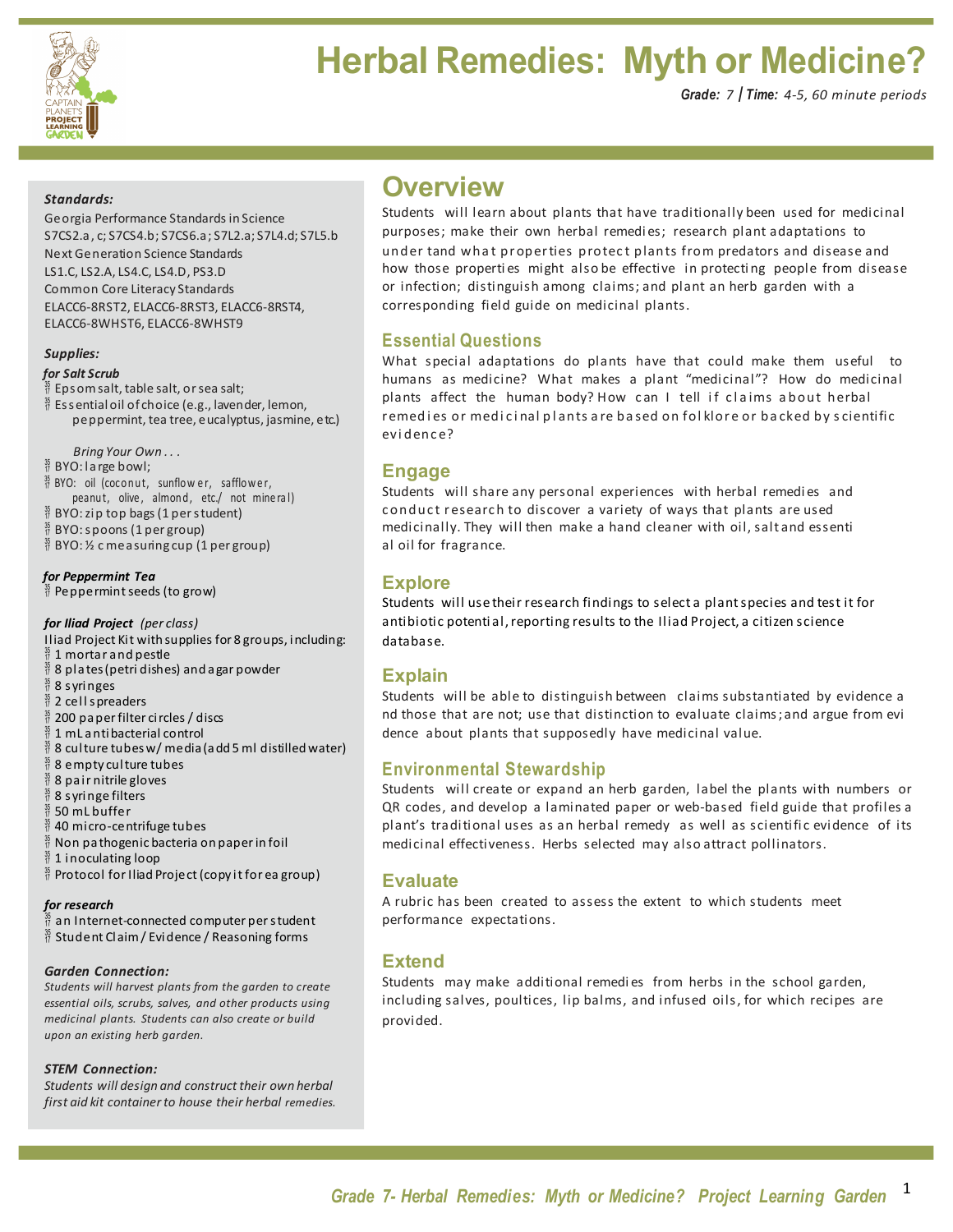

# **Herbal Remedies: Myth or Medicine?**

#### *Standards:*

Georgia Performance Standards in Science S7CS2.a, c; S7CS4.b; S7CS6.a; S7L2.a; S7L4.d; S7L5.b Next Generation Science Standards LS1.C, LS2.A, LS4.C, LS4.D, PS3.D Common Core Literacy Standards ELACC6-8RST2, ELACC6-8RST3, ELACC6-8RST4, ELACC6-8WHST6, ELACC6-8WHST9

#### *Supplies:*

#### *for Salt Scrub*

 $\frac{3}{7}$  Epsom salt, table salt, or sea salt;

 $\frac{35}{17}$  Essentialoil of choice (e.g., lavender, lemon, peppermint, tea tree, eucalyptus, jasmine, etc.)

*Bring Your Own . . .*

- $\frac{35}{17}$  BYO: large bowl;
- $\frac{35}{17}$  BYO: oil (coconut, sunflower, safflower,
- peanut, olive, almond, etc./ not mine ral)
- $\frac{35}{17}$  BYO: zip top bags (1 per student)
- $\frac{35}{17}$  BYO: spoons (1 per group)
- $\frac{35}{17}$  BYO: 1/2 c measuring cup (1 per group)

*for Peppermint Tea*  $\frac{35}{17}$  Peppermint seeds (to grow)

#### *for Iliad Project (per class)*

- Iliad Project Kit with supplies for 8 groups, including:  $\frac{35}{17}$  1 mortar and pestle  $\frac{35}{17}$  8 plates (petri dishes) and agar powder  $\frac{35}{17}$  8 s yringes  $\frac{35}{17}$  2 cell spreaders 200 paperfilter circles / discs 1 mL antibacterial control 8 culture tubesw/ media(add 5 ml distilled water) 8 empty culture tubes 8 pair nitrile gloves
- 8 s yringe filters
- 50 mL buffer
- $\frac{35}{17}$  40 micro-centrifuge tubes
- $\frac{\mathfrak{H}}{\mathfrak{H}}$  Non pathogenic bacteria on paper in foil<br> $\frac{\mathfrak{H}}{\mathfrak{H}}$  1 inoculating loop
- 1 inoculating loop
- $\frac{35}{17}$  Protocol for Iliad Project (copy it for ea group)

#### *for research*

- an Internet-connected computer per student
- $\frac{35}{17}$  Student Claim / Evidence / Reasoning forms

#### *Garden Connection:*

*Students will harvest plants from the garden to create essential oils, scrubs, salves, and other products using medicinal plants. Students can also create or build upon an existing herb garden.*

#### *STEM Connection:*

*Students will design and construct their own herbal first aid kit containerto house their herbal remedies.*

## **Overview**

Students will learn about plants that have traditionally been used for medicinal purposes; make their own herbal remedies; research plant adaptations to under tand what properties protect plants from predators and disease and how those properties might also be effective in protecting people from disease or infection; distinguish among claims; and plant an herb garden with a corresponding field guide on medicinal plants.

### **Essential Questions**

What special adaptations do plants have that could make them useful to humans as medicine? What makes a plant "medicinal"? How do medicinal plants affect the human body? How can I tell if claims about herbal remedies or medicinal plants are based on folklore or backed by scientific evi denc e?

### **Engage**

Students will share any personal experiences with herbal remedies and conduct research to discover a variety of ways that plants are used medicinally. They will then make a hand cleaner with oil, salt and essenti al oil for fragrance.

### **Explore**

Students will use their research findings to select a plant species and test it for antibiotic potential, reporting results to the Iliad Project, a citizen science database.

### **Explain**

Students will be able to distinguish between claims substantiated by evidence a nd those that are not; use that distinction to evaluate claims; and argue from evi dence about plants that supposedly have medicinal value.

### **Environmental Stewardship**

Students will create or expand an herb garden, label the plants with numbers or QR codes, and develop a laminated paper or web-based field guide that profiles a plant's traditional uses as an herbal remedy as well as scientific evidence of its medicinal effectiveness. Herbs selected may also attract pollinators.

### **Evaluate**

A rubric has been created to assess the extent to which students meet performance expectations.

### **Extend**

Students may make additional remedies from herbs in the school garden, including salves, poultices, lip balms, and infused oils, for which recipes are provided.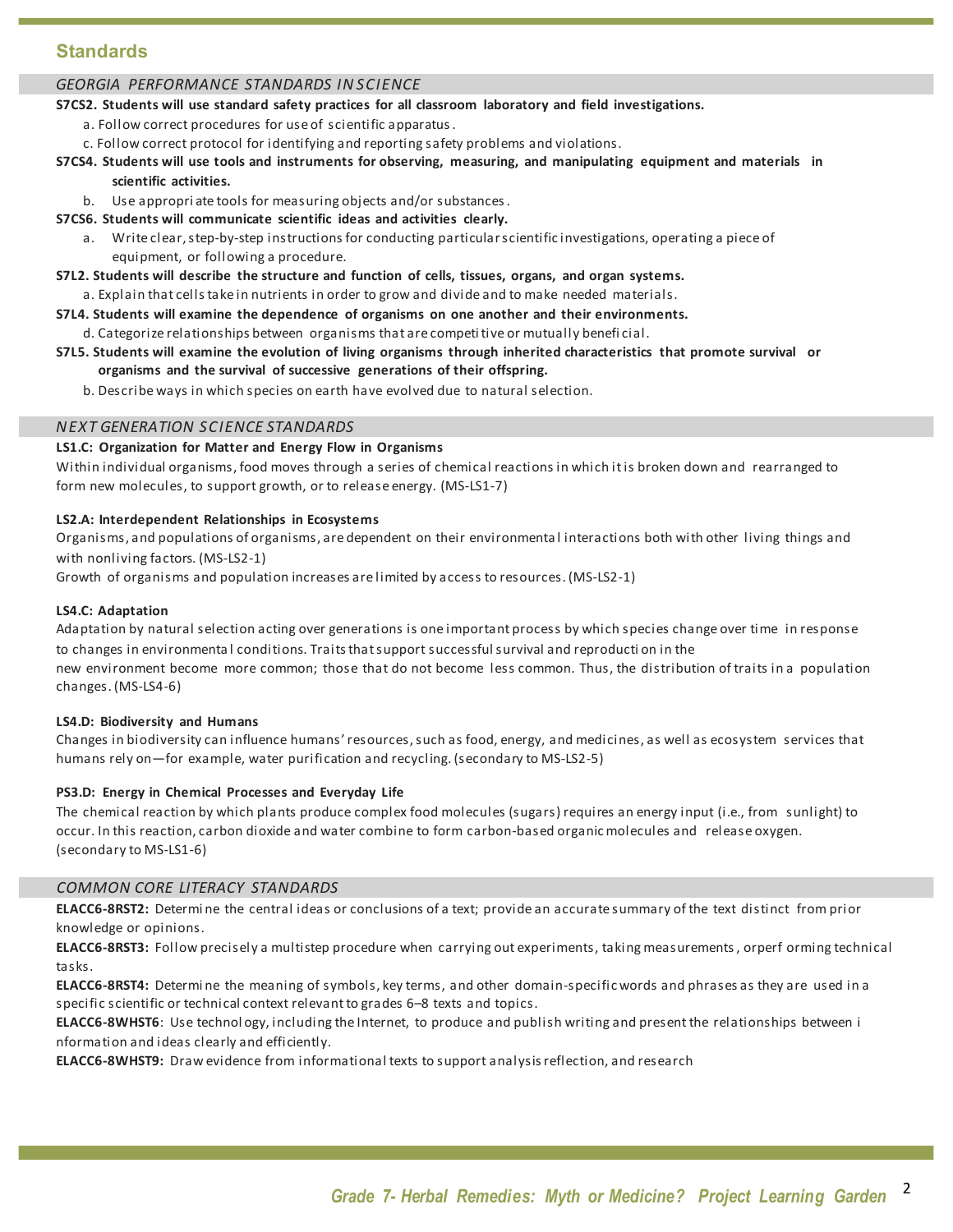### **Standards**

#### *GEORGIA PERFORMANCE STANDARDS IN SCIENCE*

#### **S7CS2. Students will use standard safety practices for all classroom laboratory and field investigations.**

- a. Follow correct procedures for use of scientific apparatus.
- c. Follow correct protocol for identifying and reporting safety problems and violations.

### S7CS4. Students will use tools and instruments for observing, measuring, and manipulating equipment and materials in

### **scientific activities.**

- b. Use appropriate tools for measuring objects and/or substances.
- **S7CS6. Students will communicate scientific ideas and activities clearly.**
	- a. Write clear,step-by-step instructions for conducting particularscientific investigations, operating a piece of equipment, or following a procedure.
- **S7L2. Students will describe the structure and function of cells, tissues, organs, and organ systems.**
	- a. Explain that cellstake in nutrients in order to grow and divide and to make needed materials.
- **S7L4. Students will examine the dependence of organisms on one another and their environments.** d. Categorize relationships between organisms that are competitive or mutually benefi cial.
- **S7L5.** Students will examine the evolution of living organisms through inherited characteristics that promote survival or **organisms and the survival of successive generations of their offspring.**
	- b. Describe ways in which species on earth have evolved due to natural selection.

#### *NEXT GENERATION SCIENCE STANDARDS*

#### **LS1.C: Organization for Matter and Energy Flow in Organisms**

Within individual organisms, food moves through a series of chemical reactions in which it is broken down and rearranged to form new molecules, to support growth, or to release energy. (MS-LS1-7)

#### **LS2.A: Interdependent Relationships in Ecosystems**

Organisms, and populations of organisms, are dependent on their environmenta l interactions both with other living things and with nonliving factors. (MS-LS2-1)

Growth of organisms and population increases are limited by access to resources. (MS-LS2-1)

#### **LS4.C: Adaptation**

Adaptation by natural selection acting over generations is one important process by which species change over time in response to changes in environmental conditions. Traits that support successful survival and reproduction in the new environment become more common; those that do not become less common. Thus, the distribution of traits in a population changes. (MS-LS4-6)

#### **LS4.D: Biodiversity and Humans**

Changes in biodiversity can influence humans'resources,such as food, energy, and medicines, as well as ecosystem services that humans rely on—for example, water purification and recycling. (secondary to MS-LS2-5)

#### **PS3.D: Energy in Chemical Processes and Everyday Life**

The chemical reaction by which plants produce complex food molecules (sugars) requires an energy input (i.e., from sunlight) to occur. In this reaction, carbon dioxide and water combine to form carbon-based organicmolecules and release oxygen. (secondary to MS-LS1-6)

#### **COMMON CORE LITERACY STANDARDS**

**ELACC6-8RST2:** Determi ne the central ideas or conclusions of a text; provide an accurate summary of the text distinct from prior knowledge or opinions.

ELACC6-8RST3: Follow precisely a multistep procedure when carrying out experiments, taking measurements, orperf orming technical tasks.

**ELACC6-8RST4:** Determi ne the meaning of symbols, key terms, and other domain-specificwords and phrases as they are used in a specific scientific or technical context relevant to grades 6-8 texts and topics.

**ELACC6-8WHST6**: Use technol ogy, including the Internet, to produce and publish writing and present the relationships between i nformation and ideas clearly and efficiently.

**ELACC6-8WHST9:** Draw evidence from informational texts to support analysisreflection, and research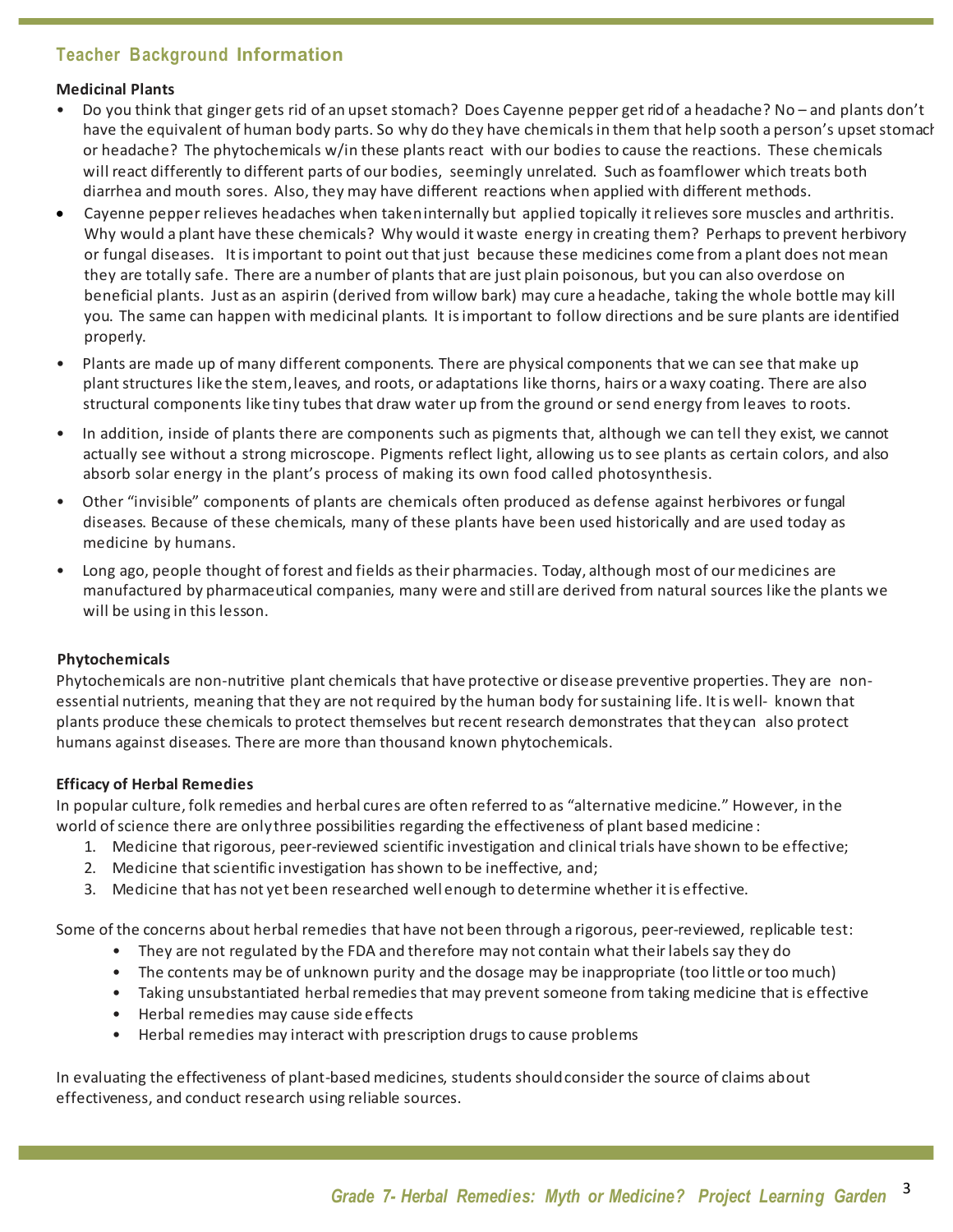### **Teacher Background Information**

#### **Medicinal Plants**

- Do you think that ginger gets rid of an upset stomach? Does Cayenne pepper get rid of a headache? No and plants don't have the equivalent of human body parts. So why do they have chemicals in them that help sooth a person's upset stomach or headache? The phytochemicals w/in these plants react with our bodies to cause the reactions. These chemicals will react differently to different parts of our bodies, seemingly unrelated. Such asfoamflower which treats both diarrhea and mouth sores. Also, they may have different reactions when applied with different methods.
- Cayenne pepper relieves headaches when takeninternally but applied topically it relieves sore muscles and arthritis. Why would a plant have these chemicals? Why would it waste energy in creating them? Perhaps to prevent herbivory or fungal diseases. It is important to point out that just because these medicines come from a plant does not mean they are totally safe. There are a number of plants that are just plain poisonous, but you can also overdose on beneficial plants. Just as an aspirin (derived from willow bark) may cure a headache, taking the whole bottle may kill you. The same can happen with medicinal plants. It is important to follow directions and be sure plants are identified properly.
- Plants are made up of many different components. There are physical components that we can see that make up plant structures like the stem, leaves, and roots, or adaptations like thorns, hairs or a waxy coating. There are also structural components like tiny tubes that draw water up from the ground or send energy from leaves to roots.
- In addition, inside of plants there are components such as pigments that, although we can tell they exist, we cannot actually see without a strong microscope. Pigments reflect light, allowing usto see plants as certain colors, and also absorb solar energy in the plant's process of making its own food called photosynthesis.
- Other "invisible" components of plants are chemicals often produced as defense against herbivores orfungal diseases. Because of these chemicals, many of these plants have been used historically and are used today as medicine by humans.
- Long ago, people thought of forest and fields as their pharmacies. Today, although most of our medicines are manufactured by pharmaceutical companies, many were and still are derived from natural sources like the plants we will be using in this lesson.

### **Phytochemicals**

Phytochemicals are non-nutritive plant chemicals that have protective or disease preventive properties. They are nonessential nutrients, meaning that they are not required by the human body for sustaining life. It is well- known that plants produce these chemicals to protect themselves but recent research demonstrates that they can also protect humans against diseases. There are more than thousand known phytochemicals.

### **Efficacy of Herbal Remedies**

In popular culture, folk remedies and herbal cures are often referred to as "alternative medicine." However, in the world of science there are onlythree possibilities regarding the effectiveness of plant based medicine :

- 1. Medicine that rigorous, peer-reviewed scientific investigation and clinical trials have shown to be effective;
- 2. Medicine that scientific investigation has shown to be ineffective, and;
- 3. Medicine that has not yet been researched well enough to determine whether it is effective.

Some of the concerns about herbal remedies that have not been through a rigorous, peer-reviewed, replicable test:

- They are not regulated by the FDA and therefore may not contain what their labels say they do
- The contents may be of unknown purity and the dosage may be inappropriate (too little or too much)
- Taking unsubstantiated herbal remedies that may prevent someone from taking medicine that is effective
- Herbal remedies may cause side effects
- Herbal remedies may interact with prescription drugs to cause problems

In evaluating the effectiveness of plant-based medicines, students should consider the source of claims about effectiveness, and conduct research using reliable sources.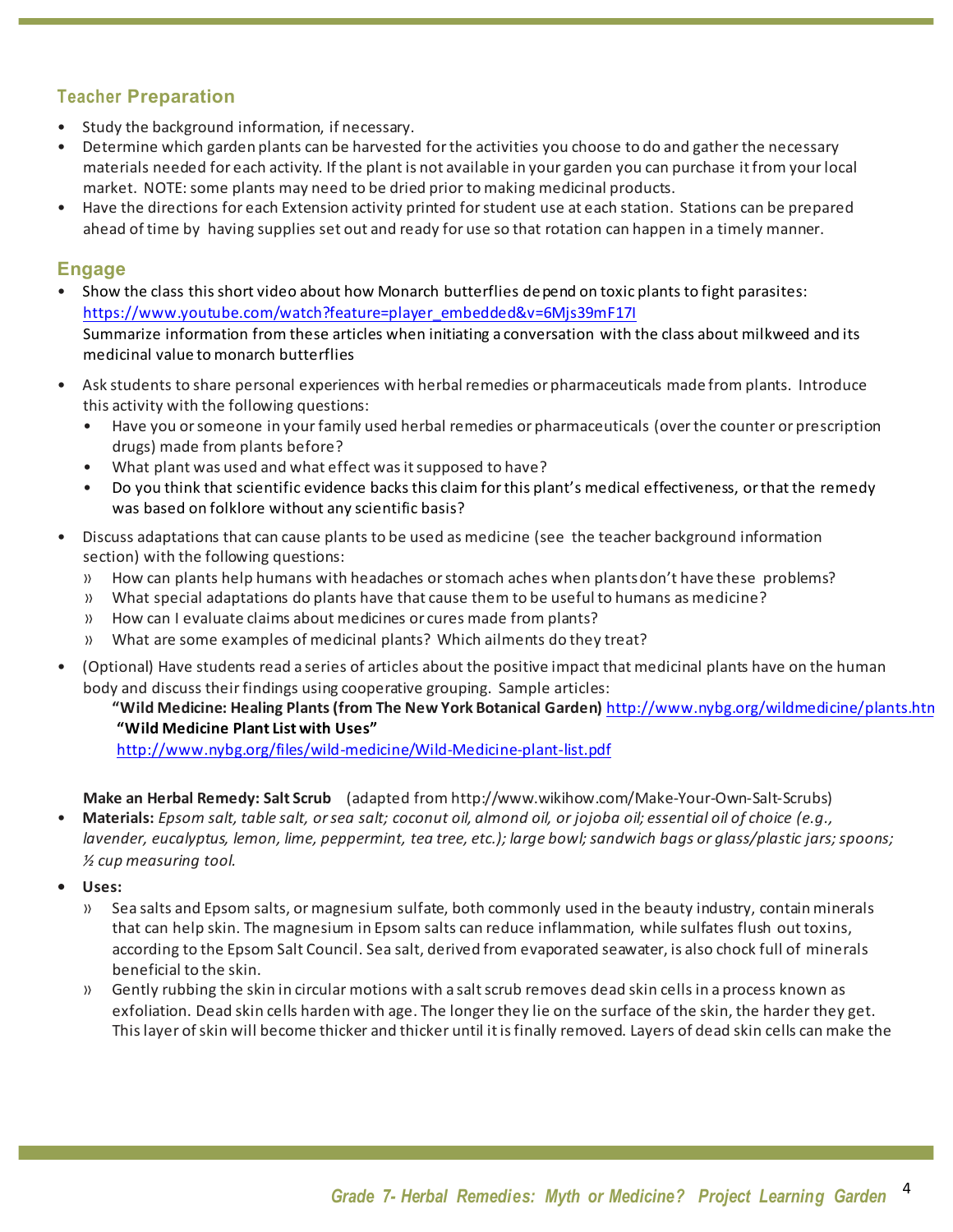### **Teacher Preparation**

- Study the background information, if necessary.
- Determine which garden plants can be harvested for the activities you choose to do and gather the necessary materials needed for each activity. If the plant is not available in your garden you can purchase itfrom your local market. NOTE: some plants may need to be dried prior to making medicinal products.
- Have the directions for each Extension activity printed forstudent use at each station. Stations can be prepared ahead of time by having supplies set out and ready for use so that rotation can happen in a timely manner.

### **Engage**

- Show the class thisshort video about how Monarch butterflies depend on toxic plants to fight parasites: https://www.youtube.com/watch?feature=player\_embedded&v=6Mjs39mF17I Summarize information from these articles when initiating a conversation with the class about milkweed and its medicinal value to monarch butterflies
- Ask students to share personal experiences with herbal remedies or pharmaceuticals made from plants. Introduce this activity with the following questions:
	- Have you or someone in your family used herbal remedies or pharmaceuticals (over the counter or prescription drugs) made from plants before?
	- What plant was used and what effect was it supposed to have?
	- Do you think that scientific evidence backs this claim forthis plant's medical effectiveness, orthat the remedy was based on folklore without any scientific basis?
- Discuss adaptations that can cause plants to be used as medicine (see the teacher background information section) with the following questions:
	- » How can plants help humans with headaches orstomach aches when plantsdon't have these problems?
	- » What special adaptations do plants have that cause them to be useful to humans as medicine?
	- » How can I evaluate claims about medicines or cures made from plants?
	- » What are some examples of medicinal plants? Which ailments do they treat?
- (Optional) Have students read a series of articles about the positive impact that medicinal plants have on the human body and discuss their findings using cooperative grouping. Sample articles:

### **"Wild Medicine: Healing Plants(from The New York Botanical Garden)** http://www.nybg.org/wildmedicine/plants.html **"Wild Medicine Plant List with Uses"**

http://www.nybg.org/files/wild-medicine/Wild-Medicine-plant-list.pdf

- **Make an Herbal Remedy: Salt Scrub**  (adapted from http://www.wikihow.com/Make-Your-Own-Salt-Scrubs)
- Materials: Epsom salt, table salt, or sea salt; coconut oil, almond oil, or jojoba oil; essential oil of choice (e.g., *lavender, eucalyptus, lemon, lime, peppermint, tea tree, etc.); large bowl;sandwich bags or glass/plastic jars;spoons; ½ cup measuring tool.*
- **• Uses:**
	- » Sea salts and Epsom salts, ormagnesium sulfate, both commonly used in the beauty industry, containminerals that can help skin. The magnesium in Epsom salts can reduce inflammation, while sulfates flush out toxins, according to the Epsom Salt Council. Sea salt, derived from evaporated seawater, is also chock full of minerals beneficial to the skin.
	- » Gently rubbing the skin in circular motions with a salt scrub removes dead skin cells in a process known as exfoliation. Dead skin cells harden with age. The longer they lie on the surface of the skin, the harder they get. Thislayer ofskin will become thicker and thicker until itisfinally removed. Layers of dead skin cells can make the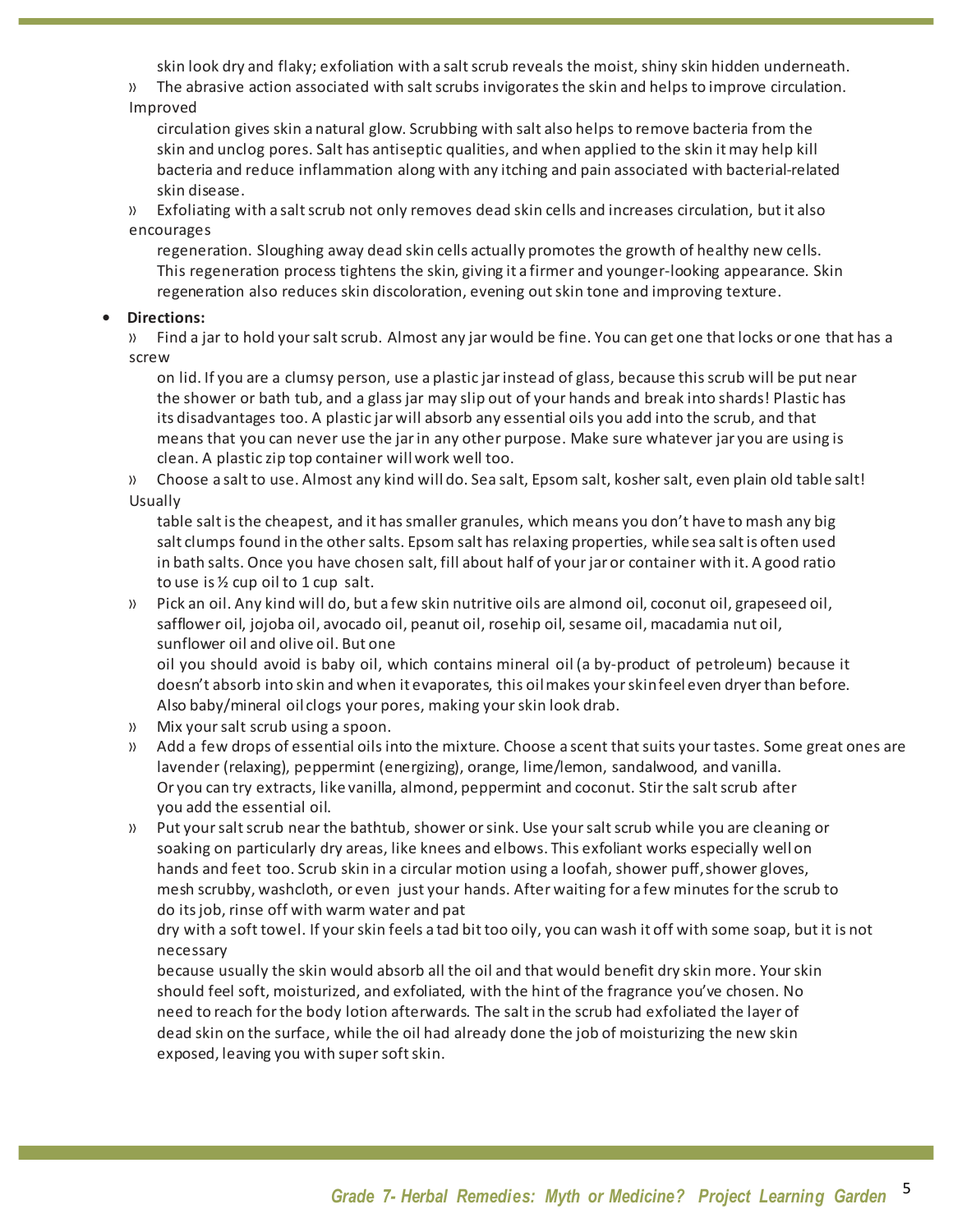skin look dry and flaky; exfoliation with a saltscrub reveals the moist, shiny skin hidden underneath.

» The abrasive action associated with saltscrubs invigoratesthe skin and helps to improve circulation. Improved

circulation gives skin a natural glow. Scrubbing with salt also helps to remove bacteria from the skin and unclog pores. Salt has antiseptic qualities, and when applied to the skin it may help kill bacteria and reduce inflammation along with any itching and pain associated with bacterial-related skin disease.

» Exfoliating with a saltscrub not only removes dead skin cells and increases circulation, but it also encourages

regeneration. Sloughing away dead skin cells actually promotes the growth of healthy new cells. This regeneration process tightens the skin, giving it a firmer and younger-looking appearance. Skin regeneration also reduces skin discoloration, evening out skin tone and improving texture.

### **• Directions:**

» Find a jar to hold yoursaltscrub. Almost any jar would be fine. You can get one that locks or one that has a screw

on lid. If you are a clumsy person, use a plastic jarinstead of glass, because thisscrub will be put near the shower or bath tub, and a glass jar may slip out of your hands and break into shards! Plastic has its disadvantages too. A plastic jar will absorb any essential oils you add into the scrub, and that means that you can never use the jarin any other purpose. Make sure whatever jar you are using is clean. A plastic zip top container will work well too.

» Choose a salt to use. Almost any kind will do. Sea salt, Epsom salt, kosher salt, even plain old table salt! Usually

table salt is the cheapest, and it has smaller granules, which means you don't have to mash any big salt clumps found in the other salts. Epsom salt has relaxing properties, while sea salt is often used in bath salts. Once you have chosen salt, fill about half of your jar or container with it. A good ratio to use is ½ cup oil to 1 cup salt.

» Pick an oil. Any kind will do, but a few skin nutritive oils are almond oil, coconut oil, grapeseed oil, safflower oil, jojoba oil, avocado oil, peanut oil, rosehip oil, sesame oil, macadamia nut oil, sunflower oil and olive oil. But one

oil you should avoid is baby oil, which contains mineral oil (a by-product of petroleum) because it doesn't absorb into skin and when it evaporates, this oil makes your skinfeel even dryer than before. Also baby/mineral oil clogs your pores, making your skin look drab.

- » Mix yoursalt scrub using a spoon.
- » Add a few drops of essential oils into the mixture. Choose a scent that suits your tastes. Some great ones are lavender (relaxing), peppermint (energizing), orange, lime/lemon, sandalwood, and vanilla. Or you can try extracts, like vanilla, almond, peppermint and coconut. Stir the salt scrub after you add the essential oil.
- » Put your salt scrub near the bathtub, shower or sink. Use your salt scrub while you are cleaning or soaking on particularly dry areas, like knees and elbows. This exfoliant works especially well on hands and feet too. Scrub skin in a circular motion using a loofah, shower puff, shower gloves, mesh scrubby, washcloth, or even just your hands. After waiting for a few minutes for the scrub to do its job, rinse off with warm water and pat

dry with a soft towel. If yourskin feels a tad bit too oily, you can wash it off with some soap, but it is not necessary

because usually the skin would absorb all the oil and that would benefit dry skin more. Yourskin should feel soft, moisturized, and exfoliated, with the hint of the fragrance you've chosen. No need to reach forthe body lotion afterwards. The salt in the scrub had exfoliated the layer of dead skin on the surface, while the oil had already done the job of moisturizing the new skin exposed, leaving you with supersoftskin.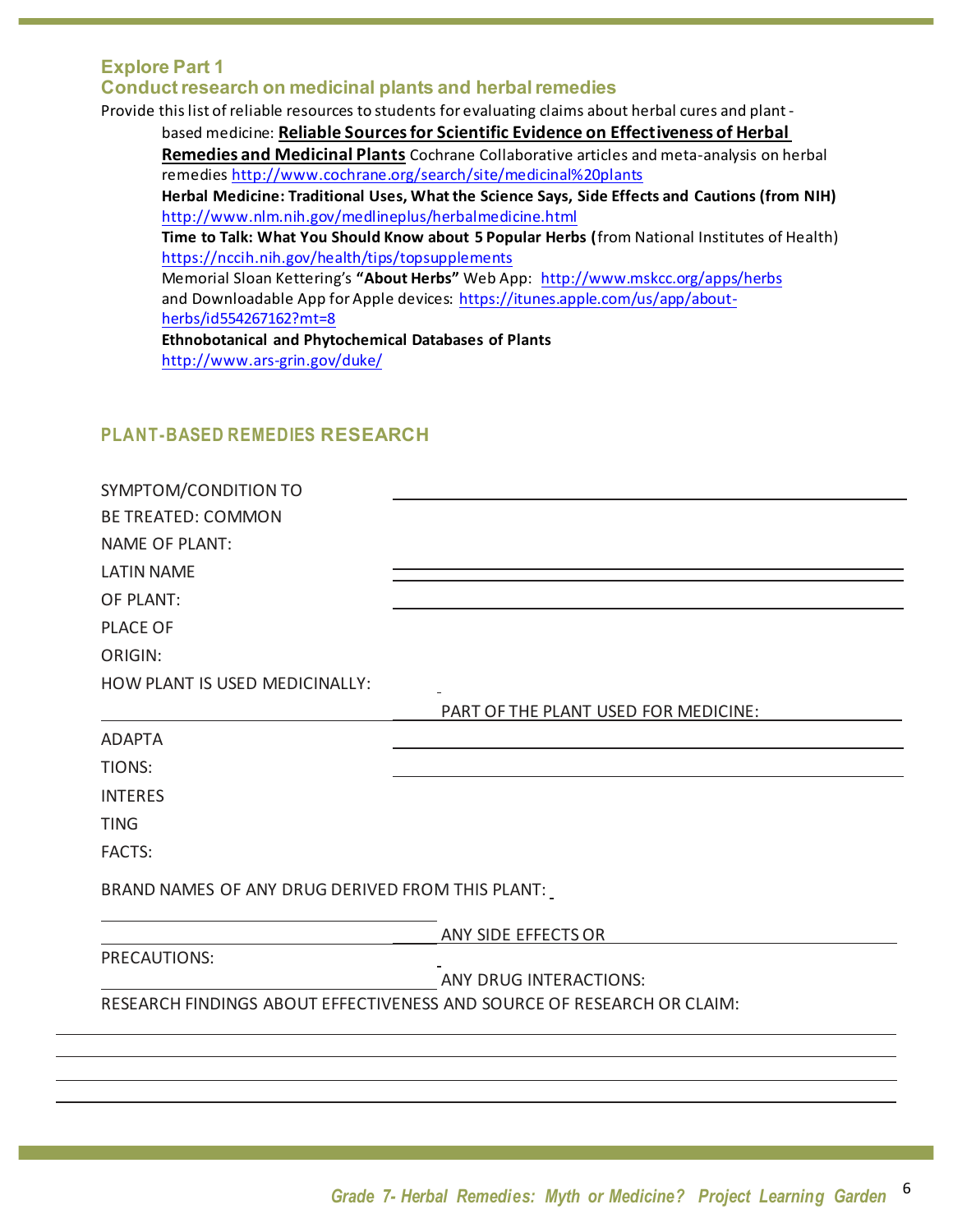### **Explore Part 1 Conductresearch on medicinal plants and herbalremedies**

Provide this list of reliable resources to students for evaluating claims about herbal cures and plantbased medicine: **Reliable Sourcesfor Scientific Evidence on Effectiveness of Herbal Remedies and Medicinal Plants** Cochrane Collaborative articles and meta-analysis on herbal remedies http://www.cochrane.org/search/site/medicinal%20plants **Herbal Medicine: Traditional Uses, What the Science Says, Side Effects and Cautions (from NIH)** http://www.nlm.nih.gov/medlineplus/herbalmedicine.html **Time to Talk: What You Should Know about 5 Popular Herbs (**from National Institutes of Health) https://nccih.nih.gov/health/tips/topsupplements Memorial Sloan Kettering's **"About Herbs"** Web App: http://www.mskcc.org/apps/herbs and Downloadable App for Apple devices: https://itunes.apple.com/us/app/aboutherbs/id554267162?mt=8 **Ethnobotanical and Phytochemical Databases of Plants** http://www.ars-grin.gov/duke/

### **PLANT-BASED REMEDIES RESEARCH**

| SYMPTOM/CONDITION TO                             |                                                                        |  |  |  |
|--------------------------------------------------|------------------------------------------------------------------------|--|--|--|
| <b>BE TREATED: COMMON</b>                        |                                                                        |  |  |  |
| <b>NAME OF PLANT:</b>                            |                                                                        |  |  |  |
| <b>LATIN NAME</b>                                |                                                                        |  |  |  |
| OF PLANT:                                        |                                                                        |  |  |  |
| <b>PLACE OF</b>                                  |                                                                        |  |  |  |
| <b>ORIGIN:</b>                                   |                                                                        |  |  |  |
| HOW PLANT IS USED MEDICINALLY:                   |                                                                        |  |  |  |
|                                                  | PART OF THE PLANT USED FOR MEDICINE:                                   |  |  |  |
| <b>ADAPTA</b>                                    |                                                                        |  |  |  |
| TIONS:                                           |                                                                        |  |  |  |
| <b>INTERES</b>                                   |                                                                        |  |  |  |
| <b>TING</b>                                      |                                                                        |  |  |  |
| <b>FACTS:</b>                                    |                                                                        |  |  |  |
| BRAND NAMES OF ANY DRUG DERIVED FROM THIS PLANT: |                                                                        |  |  |  |
|                                                  | ANY SIDE EFFECTS OR                                                    |  |  |  |
| PRECAUTIONS:                                     |                                                                        |  |  |  |
|                                                  | <b>ANY DRUG INTERACTIONS:</b>                                          |  |  |  |
|                                                  | RESEARCH FINDINGS ABOUT EFFECTIVENESS AND SOURCE OF RESEARCH OR CLAIM: |  |  |  |
|                                                  |                                                                        |  |  |  |
|                                                  |                                                                        |  |  |  |
|                                                  |                                                                        |  |  |  |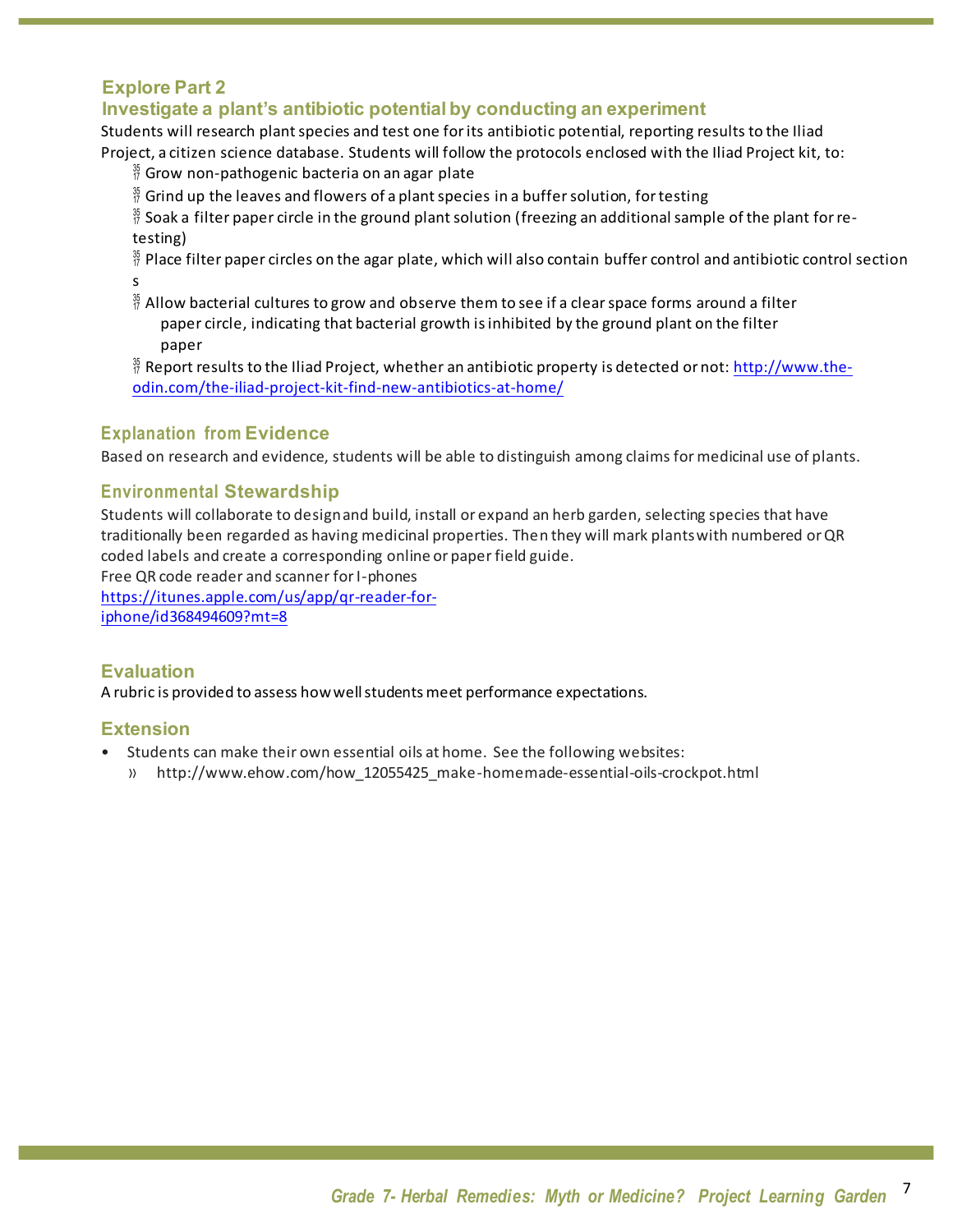### **Explore Part 2**

### **Investigate a plant's antibiotic potential by conducting an experiment**

Students will research plant species and test one for its antibiotic potential, reporting results to the Iliad Project, a citizen science database. Students will follow the protocols enclosed with the Iliad Project kit, to:

- $\frac{35}{17}$  Grow non-pathogenic bacteria on an agar plate
- $\frac{35}{17}$  Grind up the leaves and flowers of a plant species in a buffer solution, for testing
- $\frac{35}{7}$  Soak a filter paper circle in the ground plant solution (freezing an additional sample of the plant for retesting)
- $\frac{35}{17}$  Place filter paper circles on the agar plate, which will also contain buffer control and antibiotic control section s
- $\frac{36}{7}$  Allow bacterial cultures to grow and observe them to see if a clear space forms around a filter paper circle, indicating that bacterial growth is inhibited by the ground plant on the filter paper
- $\frac{36}{7}$  Report results to the Iliad Project, whether an antibiotic property is detected or not: http://www.theodin.com/the-iliad-project-kit-find-new-antibiotics-at-home/

### **Explanation from Evidence**

Based on research and evidence, students will be able to distinguish among claims for medicinal use of plants.

### **Environmental Stewardship**

Students will collaborate to designand build, install or expand an herb garden, selecting species that have traditionally been regarded as having medicinal properties. Then they will mark plants with numbered or QR coded labels and create a corresponding online or paper field guide.

Free QR code reader and scanner for I-phones

https://itunes.apple.com/us/app/qr-reader-foriphone/id368494609?mt=8

### **Evaluation**

A rubric is provided to assess how well students meet performance expectations.

### **Extension**

- Students can make their own essential oils at home. See the following websites:
	- » http://www.ehow.com/how\_12055425\_make-homemade-essential-oils-crockpot.html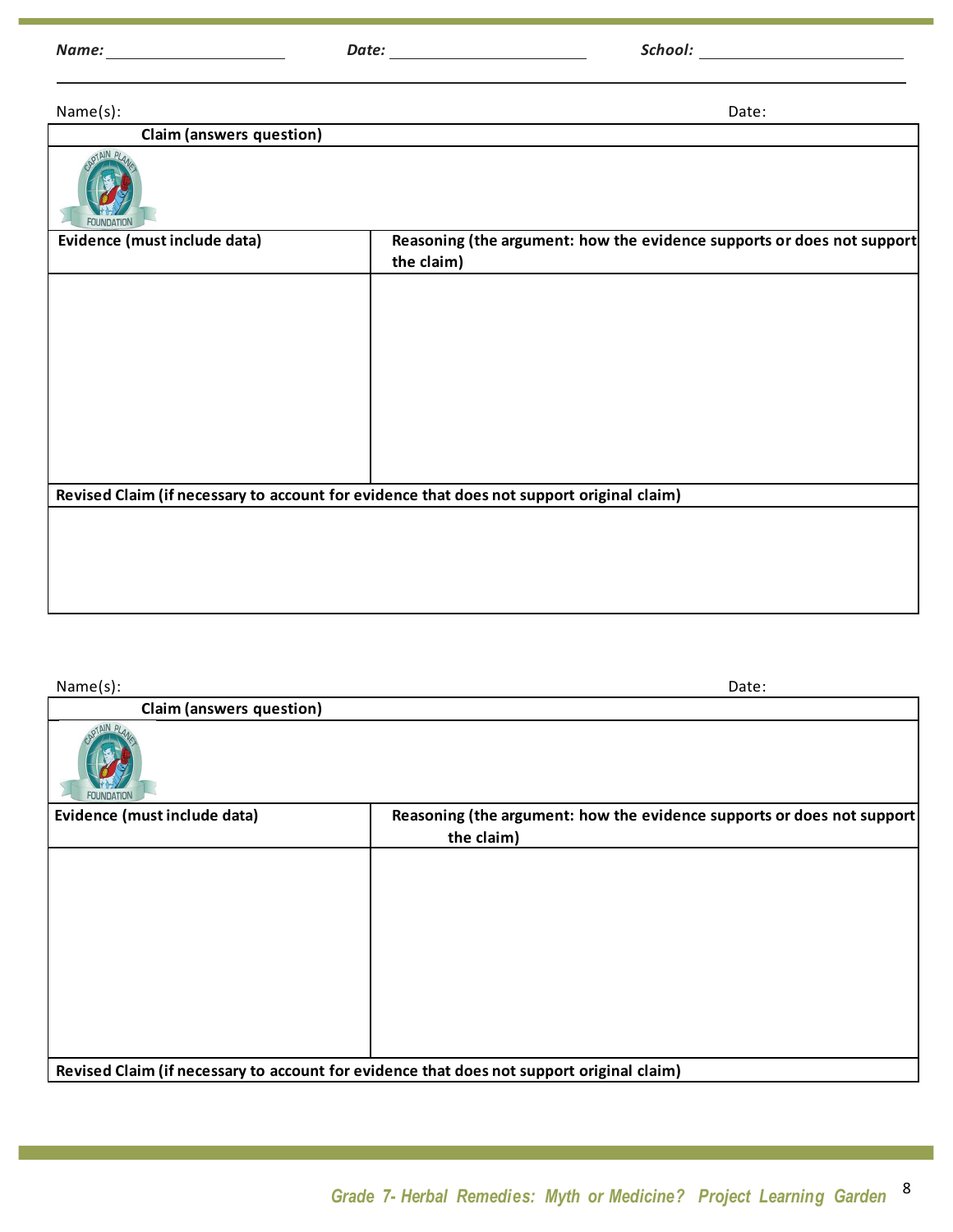*Name: Date: School:*

Name(s): Date:

|  | <b>Claim (answers question)</b> |  |
|--|---------------------------------|--|
|  |                                 |  |
|  |                                 |  |
|  |                                 |  |

| Revised Claim (if necessary to account for evidence that does not support original claim) |
|-------------------------------------------------------------------------------------------|
|                                                                                           |

Name(s): Date: **Claim (answers question)** Evidence (must include data) Reasoning (the argument: how the evidence supports or does not support **the claim) Revised Claim (if necessary to account for evidence that does not support original claim)**